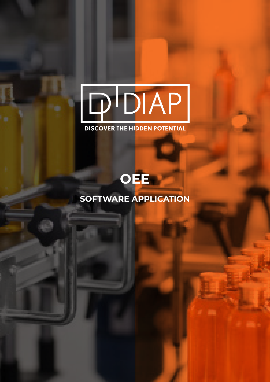# PDIAP

### **DISCOVER THE HIDDEN POTENTIAL**

## **OEE**

## **SOFTWARE APPLICATION**